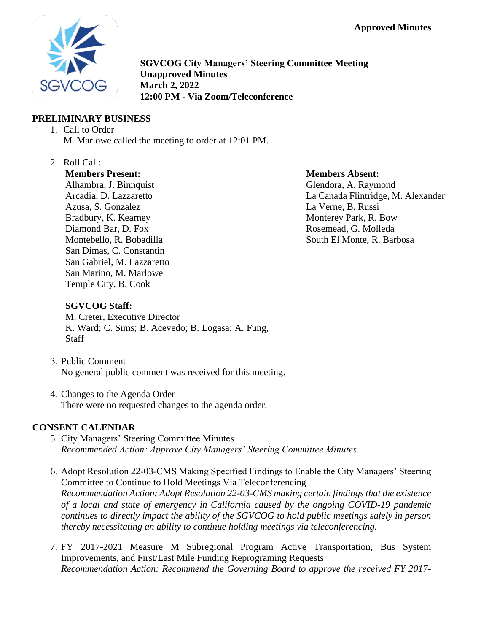

**SGVCOG City Managers' Steering Committee Meeting Unapproved Minutes March 2, 2022 12:00 PM - Via Zoom/Teleconference**

## **PRELIMINARY BUSINESS**

- 1. Call to Order M. Marlowe called the meeting to order at 12:01 PM.
- 2. Roll Call:

## **Members Present:**

Alhambra, J. Binnquist Arcadia, D. Lazzaretto Azusa, S. Gonzalez Bradbury, K. Kearney Diamond Bar, D. Fox Montebello, R. Bobadilla San Dimas, C. Constantin San Gabriel, M. Lazzaretto San Marino, M. Marlowe Temple City, B. Cook

#### **Members Absent:**

Glendora, A. Raymond La Canada Flintridge, M. Alexander La Verne, B. Russi Monterey Park, R. Bow Rosemead, G. Molleda South El Monte, R. Barbosa

# **SGVCOG Staff:**

M. Creter, Executive Director K. Ward; C. Sims; B. Acevedo; B. Logasa; A. Fung, **Staff** 

- 3. Public Comment No general public comment was received for this meeting.
- 4. Changes to the Agenda Order There were no requested changes to the agenda order.

## **CONSENT CALENDAR**

- 5. City Managers' Steering Committee Minutes *Recommended Action: Approve City Managers' Steering Committee Minutes.*
- 6. Adopt Resolution 22-03-CMS Making Specified Findings to Enable the City Managers' Steering Committee to Continue to Hold Meetings Via Teleconferencing *Recommendation Action: Adopt Resolution 22-03-CMS making certain findings that the existence of a local and state of emergency in California caused by the ongoing COVID-19 pandemic continues to directly impact the ability of the SGVCOG to hold public meetings safely in person thereby necessitating an ability to continue holding meetings via teleconferencing.*
- 7. FY 2017-2021 Measure M Subregional Program Active Transportation, Bus System Improvements, and First/Last Mile Funding Reprograming Requests *Recommendation Action: Recommend the Governing Board to approve the received FY 2017-*